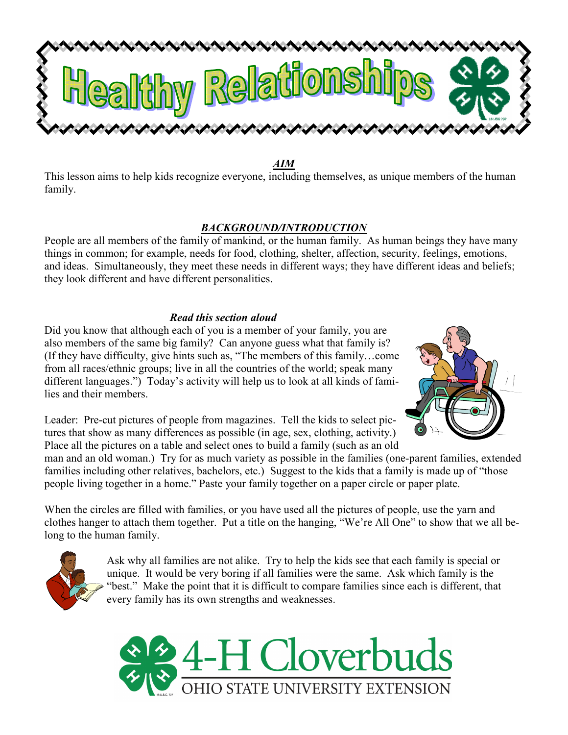

AIM

This lesson aims to help kids recognize everyone, including themselves, as unique members of the human family.

#### BACKGROUND/INTRODUCTION

People are all members of the family of mankind, or the human family. As human beings they have many things in common; for example, needs for food, clothing, shelter, affection, security, feelings, emotions, and ideas. Simultaneously, they meet these needs in different ways; they have different ideas and beliefs; they look different and have different personalities.

### Read this section aloud

Did you know that although each of you is a member of your family, you are also members of the same big family? Can anyone guess what that family is? (If they have difficulty, give hints such as, "The members of this family…come from all races/ethnic groups; live in all the countries of the world; speak many different languages.") Today's activity will help us to look at all kinds of families and their members.



Leader: Pre-cut pictures of people from magazines. Tell the kids to select pictures that show as many differences as possible (in age, sex, clothing, activity.) Place all the pictures on a table and select ones to build a family (such as an old

man and an old woman.) Try for as much variety as possible in the families (one-parent families, extended families including other relatives, bachelors, etc.) Suggest to the kids that a family is made up of "those people living together in a home." Paste your family together on a paper circle or paper plate.

When the circles are filled with families, or you have used all the pictures of people, use the yarn and clothes hanger to attach them together. Put a title on the hanging, "We're All One" to show that we all belong to the human family.



Ask why all families are not alike. Try to help the kids see that each family is special or unique. It would be very boring if all families were the same. Ask which family is the "best." Make the point that it is difficult to compare families since each is different, that every family has its own strengths and weaknesses.

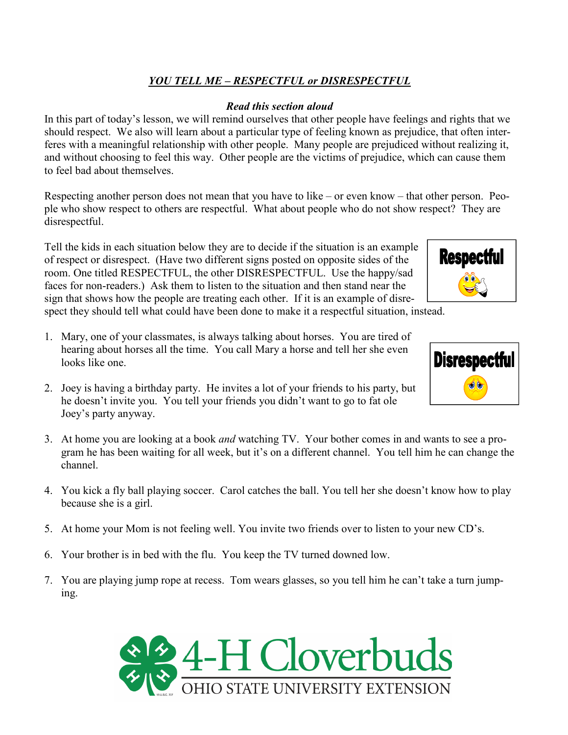# YOU TELL ME – RESPECTFUL or DISRESPECTFUL

### Read this section aloud

In this part of today's lesson, we will remind ourselves that other people have feelings and rights that we should respect. We also will learn about a particular type of feeling known as prejudice, that often interferes with a meaningful relationship with other people. Many people are prejudiced without realizing it, and without choosing to feel this way. Other people are the victims of prejudice, which can cause them to feel bad about themselves.

Respecting another person does not mean that you have to like – or even know – that other person. People who show respect to others are respectful. What about people who do not show respect? They are disrespectful.

Tell the kids in each situation below they are to decide if the situation is an example of respect or disrespect. (Have two different signs posted on opposite sides of the room. One titled RESPECTFUL, the other DISRESPECTFUL. Use the happy/sad faces for non-readers.) Ask them to listen to the situation and then stand near the sign that shows how the people are treating each other. If it is an example of disrespect they should tell what could have been done to make it a respectful situation, instead.

- 1. Mary, one of your classmates, is always talking about horses. You are tired of hearing about horses all the time. You call Mary a horse and tell her she even looks like one.
- 2. Joey is having a birthday party. He invites a lot of your friends to his party, but he doesn't invite you. You tell your friends you didn't want to go to fat ole Joey's party anyway.
- 3. At home you are looking at a book and watching TV. Your bother comes in and wants to see a program he has been waiting for all week, but it's on a different channel. You tell him he can change the channel.
- 4. You kick a fly ball playing soccer. Carol catches the ball. You tell her she doesn't know how to play because she is a girl.
- 5. At home your Mom is not feeling well. You invite two friends over to listen to your new CD's.
- 6. Your brother is in bed with the flu. You keep the TV turned downed low.
- 7. You are playing jump rope at recess. Tom wears glasses, so you tell him he can't take a turn jumping.





**Respectful**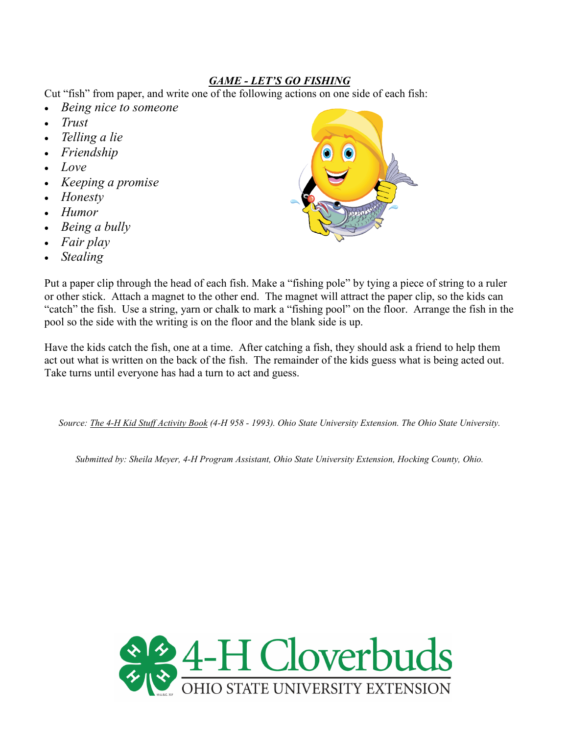## GAME - LET'S GO FISHING

Cut "fish" from paper, and write one of the following actions on one side of each fish:

- Being nice to someone
- Trust
- Telling a lie
- Friendship
- Love
- Keeping a promise
- Honesty
- Humor
- Being a bully
- Fair play
- **Stealing**



Put a paper clip through the head of each fish. Make a "fishing pole" by tying a piece of string to a ruler or other stick. Attach a magnet to the other end. The magnet will attract the paper clip, so the kids can "catch" the fish. Use a string, yarn or chalk to mark a "fishing pool" on the floor. Arrange the fish in the pool so the side with the writing is on the floor and the blank side is up.

Have the kids catch the fish, one at a time. After catching a fish, they should ask a friend to help them act out what is written on the back of the fish. The remainder of the kids guess what is being acted out. Take turns until everyone has had a turn to act and guess.

Source: The 4-H Kid Stuff Activity Book (4-H 958 - 1993). Ohio State University Extension. The Ohio State University.

Submitted by: Sheila Meyer, 4-H Program Assistant, Ohio State University Extension, Hocking County, Ohio.

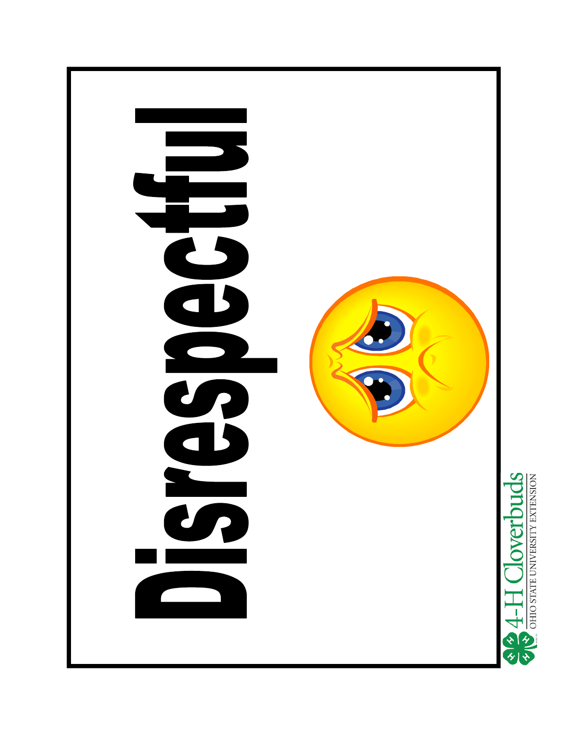